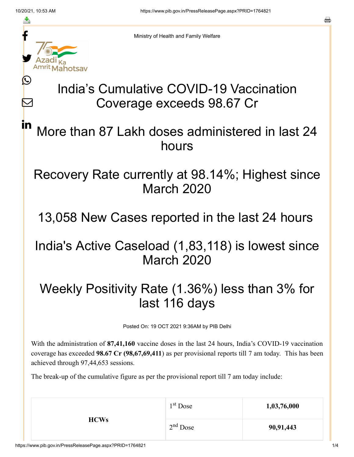≛

Ŀ

 $\bm{\nabla}$ 

in

Ministry of Health and Family Welfare

# India's Cumulative COVID-19 Vaccination Coverage exceeds 98.67 Cr

# More than 87 Lakh doses administered in last 24 hours

#### Recovery Rate currently at 98.14%; Highest since March 2020

# 13,058 New Cases reported in the last 24 hours

# India's Active Caseload (1,83,118) is lowest since March 2020

# Weekly Positivity Rate (1.36%) less than 3% for last 116 days

Posted On: 19 OCT 2021 9:36AM by PIB Delhi

With the administration of **87,41,160** vaccine doses in the last 24 hours, India's COVID-19 vaccination coverage has exceeded **98.67 Cr (98,67,69,411**) as per provisional reports till 7 am today. This has been achieved through 97,44,653 sessions.

The break-up of the cumulative figure as per the provisional report till 7 am today include:

| <b>HCWs</b> | 1 <sup>st</sup> Dose | 1,03,76,000 |
|-------------|----------------------|-------------|
|             | $2nd$ Dose           | 90,91,443   |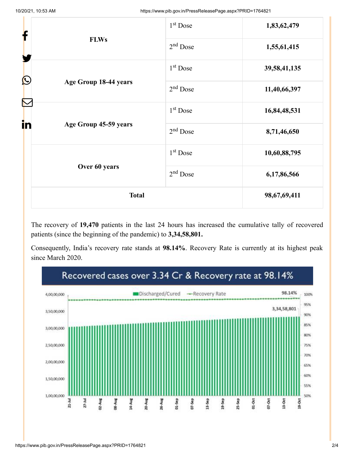| f                           | 1 <sup>st</sup> Dose | 1,83,62,479  |
|-----------------------------|----------------------|--------------|
| <b>FLWs</b><br>$\bigcirc$   | $2nd$ Dose           | 1,55,61,415  |
|                             | 1 <sup>st</sup> Dose | 39,58,41,135 |
| Age Group 18-44 years       | $2nd$ Dose           | 11,40,66,397 |
|                             | 1 <sup>st</sup> Dose | 16,84,48,531 |
| in<br>Age Group 45-59 years | $2nd$ Dose           | 8,71,46,650  |
|                             | 1 <sup>st</sup> Dose | 10,60,88,795 |
| Over 60 years               | $2nd$ Dose           | 6,17,86,566  |
| <b>Total</b>                |                      | 98,67,69,411 |

The recovery of **19,470** patients in the last 24 hours has increased the cumulative tally of recovered patients (since the beginning of the pandemic) to **3,34,58,801.**

Consequently, India's recovery rate stands at **98.14%**. Recovery Rate is currently at its highest peak since March 2020.

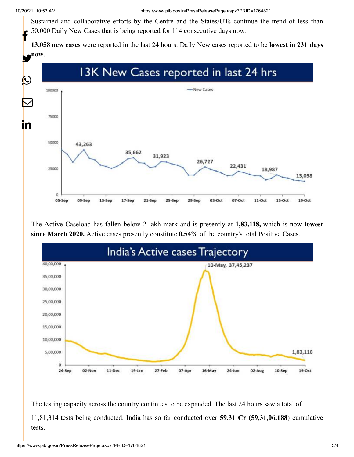Sustained and collaborative efforts by the Centre and the States/UTs continue the trend of less than 50,000 Daily New Cases that is being reported for 114 consecutive days now. f

**13,058 new cases** were reported in the last 24 hours. Daily New cases reported to be **lowest in 231 days**



The Active Caseload has fallen below 2 lakh mark and is presently at **1,83,118,** which is now **lowest since March 2020.** Active cases presently constitute **0.54%** of the country's total Positive Cases.



The testing capacity across the country continues to be expanded. The last 24 hours saw a total of 11,81,314 tests being conducted. India has so far conducted over **59.31 Cr (59,31,06,188**) cumulative tests.